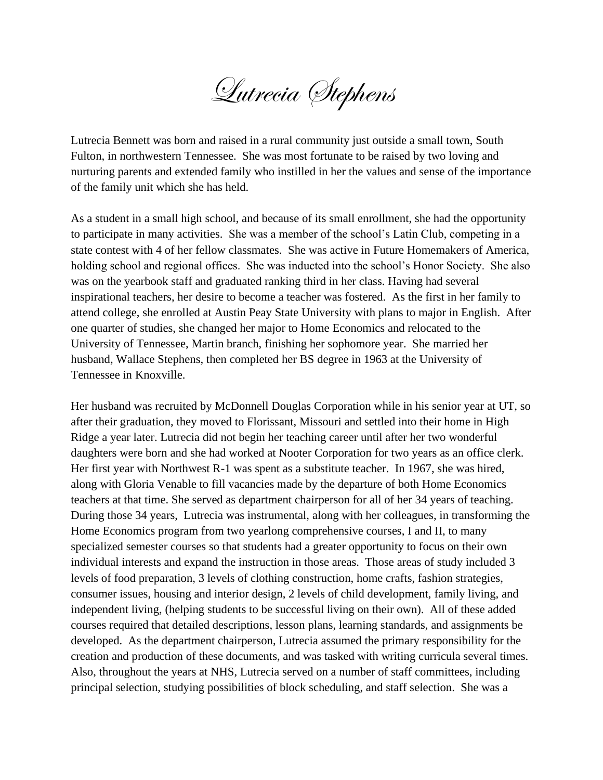Lutrecia Stephens

Lutrecia Bennett was born and raised in a rural community just outside a small town, South Fulton, in northwestern Tennessee. She was most fortunate to be raised by two loving and nurturing parents and extended family who instilled in her the values and sense of the importance of the family unit which she has held.

As a student in a small high school, and because of its small enrollment, she had the opportunity to participate in many activities. She was a member of the school's Latin Club, competing in a state contest with 4 of her fellow classmates. She was active in Future Homemakers of America, holding school and regional offices. She was inducted into the school's Honor Society. She also was on the yearbook staff and graduated ranking third in her class. Having had several inspirational teachers, her desire to become a teacher was fostered. As the first in her family to attend college, she enrolled at Austin Peay State University with plans to major in English. After one quarter of studies, she changed her major to Home Economics and relocated to the University of Tennessee, Martin branch, finishing her sophomore year. She married her husband, Wallace Stephens, then completed her BS degree in 1963 at the University of Tennessee in Knoxville.

Her husband was recruited by McDonnell Douglas Corporation while in his senior year at UT, so after their graduation, they moved to Florissant, Missouri and settled into their home in High Ridge a year later. Lutrecia did not begin her teaching career until after her two wonderful daughters were born and she had worked at Nooter Corporation for two years as an office clerk. Her first year with Northwest R-1 was spent as a substitute teacher. In 1967, she was hired, along with Gloria Venable to fill vacancies made by the departure of both Home Economics teachers at that time. She served as department chairperson for all of her 34 years of teaching. During those 34 years, Lutrecia was instrumental, along with her colleagues, in transforming the Home Economics program from two yearlong comprehensive courses, I and II, to many specialized semester courses so that students had a greater opportunity to focus on their own individual interests and expand the instruction in those areas. Those areas of study included 3 levels of food preparation, 3 levels of clothing construction, home crafts, fashion strategies, consumer issues, housing and interior design, 2 levels of child development, family living, and independent living, (helping students to be successful living on their own). All of these added courses required that detailed descriptions, lesson plans, learning standards, and assignments be developed. As the department chairperson, Lutrecia assumed the primary responsibility for the creation and production of these documents, and was tasked with writing curricula several times. Also, throughout the years at NHS, Lutrecia served on a number of staff committees, including principal selection, studying possibilities of block scheduling, and staff selection. She was a